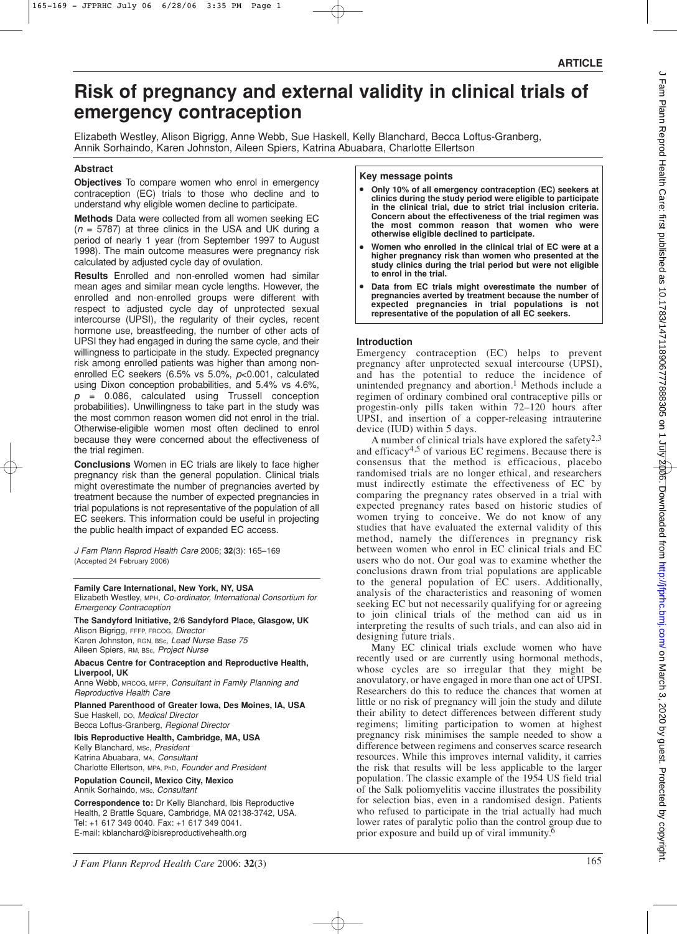# **Risk of pregnancy and external validity in clinical trials of emergency contraception**

Elizabeth Westley, Alison Bigrigg, Anne Webb, Sue Haskell, Kelly Blanchard, Becca Loftus-Granberg, Annik Sorhaindo, Karen Johnston, Aileen Spiers, Katrina Abuabara, Charlotte Ellertson

## **Abstract**

**Objectives** To compare women who enrol in emergency contraception (EC) trials to those who decline and to understand why eligible women decline to participate.

**Methods** Data were collected from all women seeking EC (*n* = 5787) at three clinics in the USA and UK during a period of nearly 1 year (from September 1997 to August 1998). The main outcome measures were pregnancy risk calculated by adjusted cycle day of ovulation.

**Results** Enrolled and non-enrolled women had similar mean ages and similar mean cycle lengths. However, the enrolled and non-enrolled groups were different with respect to adjusted cycle day of unprotected sexual intercourse (UPSI), the regularity of their cycles, recent hormone use, breastfeeding, the number of other acts of UPSI they had engaged in during the same cycle, and their willingness to participate in the study. Expected pregnancy risk among enrolled patients was higher than among nonenrolled EC seekers (6.5% vs 5.0%, *p*<0.001, calculated using Dixon conception probabilities, and 5.4% vs 4.6%, *p* = 0.086, calculated using Trussell conception probabilities). Unwillingness to take part in the study was the most common reason women did not enrol in the trial. Otherwise-eligible women most often declined to enrol because they were concerned about the effectiveness of the trial regimen.

**Conclusions** Women in EC trials are likely to face higher pregnancy risk than the general population. Clinical trials might overestimate the number of pregnancies averted by treatment because the number of expected pregnancies in trial populations is not representative of the population of all EC seekers. This information could be useful in projecting the public health impact of expanded EC access.

*J Fam Plann Reprod Health Care* 2006; **32**(3): 165–169 (Accepted 24 February 2006)

**Family Care International, New York, NY, USA** Elizabeth Westley, MPH, *Co-ordinator, International Consortium for Emergency Contraception*

**The Sandyford Initiative, 2/6 Sandyford Place, Glasgow, UK** Alison Bigrigg, FFFP, FRCOG, *Director* Karen Johnston, RGN, BSc, *Lead Nurse Base 75* Aileen Spiers, RM, BSc, *Project Nurse*

**Abacus Centre for Contraception and Reproductive Health, Liverpool, UK**

Anne Webb, MRCOG, MFFP, *Consultant in Family Planning and Reproductive Health Care*

**Planned Parenthood of Greater Iowa, Des Moines, IA, USA** Sue Haskell, DO, *Medical Director*

Becca Loftus-Granberg, *Regional Director* **Ibis Reproductive Health, Cambridge, MA, USA**

Kelly Blanchard, MSc , *President* Katrina Abuabara, MA, *Consultant* Charlotte Ellertson, MPA, PhD, *Founder and President*

**Population Council, Mexico City, Mexico** Annik Sorhaindo, MSc, *Consultant*

**Correspondence to:** Dr Kelly Blanchard, Ibis Reproductive Health, 2 Brattle Square, Cambridge, MA 02138-3742, USA. Tel: +1 617 349 0040. Fax: +1 617 349 0041. E-mail: kblanchard@ibisreproductivehealth.org

**Key message points**

- **Only 10% of all emergency contraception (EC) seekers at clinics during the study period were eligible to participate in the clinical trial, due to strict trial inclusion criteria. Concern about the effectiveness of the trial regimen was the most common reason that women who were otherwise eligible declined to participate.**
- Women who enrolled in the clinical trial of EC were at a **higher pregnancy risk than women who presented at the study clinics during the trial period but were not eligible to enrol in the trial.**
- Data from EC trials might overestimate the number of **pregnancies averted by treatment because the number of expected pregnancies in trial populations is not representative of the population of all EC seekers.**

## **Introduction**

Emergency contraception (EC) helps to prevent pregnancy after unprotected sexual intercourse (UPSI), and has the potential to reduce the incidence of unintended pregnancy and abortion. 1 Methods include a regimen of ordinary combined oral contraceptive pills or progestin-only pills taken within 72–120 hours after UPSI, and insertion of a copper-releasing intrauterine device (IUD) within 5 days.

A number of clinical trials have explored the safety<sup>2,3</sup> and efficacy4,5 of various EC regimens. Because there is consensus that the method is efficacious, placebo randomised trials are no longer ethical, and researchers must indirectly estimate the effectiveness of EC by comparing the pregnancy rates observed in a trial with expected pregnancy rates based on historic studies of women trying to conceive. We do not know of any studies that have evaluated the external validity of this method, namely the differences in pregnancy risk between women who enrol in EC clinical trials and EC users who do not. Our goal was to examine whether the conclusions drawn from trial populations are applicable to the general population of EC users. Additionally, analysis of the characteristics and reasoning of women seeking EC but not necessarily qualifying for or agreeing to join clinical trials of the method can aid us in interpreting the results of such trials, and can also aid in designing future trials.

Many EC clinical trials exclude women who have recently used or are currently using hormonal methods, whose cycles are so irregular that they might be anovulatory, or have engaged in more than one act of UPSI. Researchers do this to reduce the chances that women at little or no risk of pregnancy will join the study and dilute their ability to detect differences between different study regimens; limiting participation to women at highest pregnancy risk minimises the sample needed to show a difference between regimens and conserves scarce research resources. While this improves internal validity, it carries the risk that results will be less applicable to the larger population. The classic example of the 1954 US field trial of the Salk poliomyelitis vaccine illustrates the possibility for selection bias, even in a randomised design. Patients who refused to participate in the trial actually had much lower rates of paralytic polio than the control group due to prior exposure and build up of viral immunity.<sup>6</sup>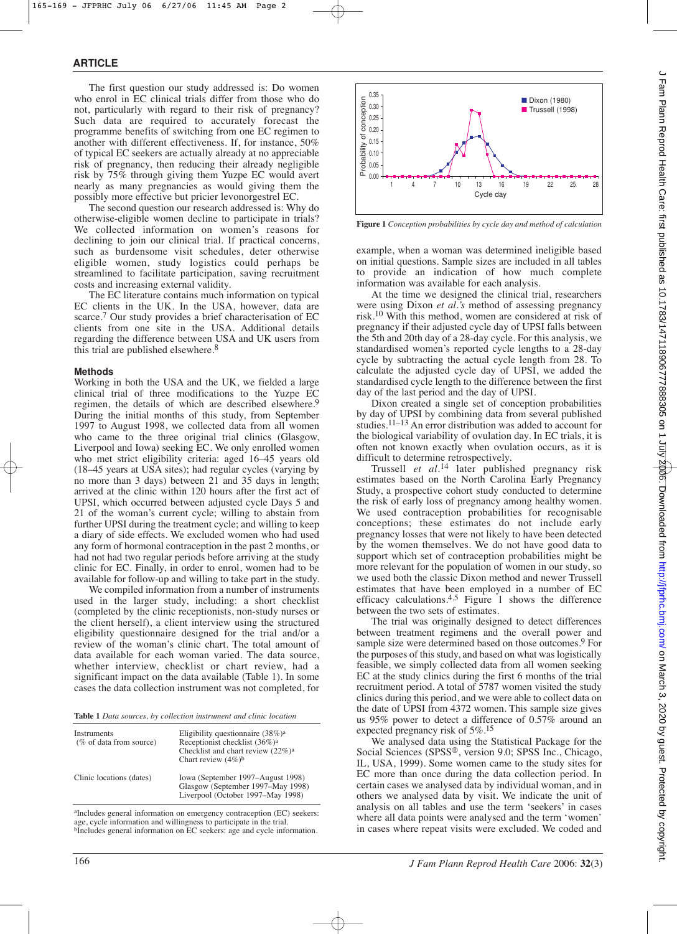## **ARTICLE**

The first question our study addressed is: Do women who enrol in EC clinical trials differ from those who do not, particularly with regard to their risk of pregnancy? Such data are required to accurately forecast the programme benefits of switching from one EC regimen to another with different effectiveness. If, for instance, 50% of typical EC seekers are actually already at no appreciable risk of pregnancy, then reducing their already negligible risk by 75% through giving them Yuzpe EC would avert nearly as many pregnancies as would giving them the possibly more effective but pricier levonorgestrel EC.

The second question our research addressed is: Why do otherwise-eligible women decline to participate in trials? We collected information on women's reasons for declining to join our clinical trial. If practical concerns, such as burdensome visit schedules, deter otherwise eligible women, study logistics could perhaps be streamlined to facilitate participation, saving recruitment costs and increasing external validity.

The EC literature contains much information on typical EC clients in the UK. In the USA, however, data are scarce. 7 Our study provides a brief characterisation of EC clients from one site in the USA. Additional details regarding the difference between USA and UK users from this trial are published elsewhere. 8

## **Methods**

Working in both the USA and the UK, we fielded a large clinical trial of three modifications to the Yuzpe EC regimen, the details of which are described elsewhere. 9 During the initial months of this study, from September 1997 to August 1998, we collected data from all women who came to the three original trial clinics (Glasgow, Liverpool and Iowa) seeking EC. We only enrolled women who met strict eligibility criteria: aged 16–45 years old (18–45 years at USA sites); had regular cycles (varying by no more than 3 days) between 21 and 35 days in length; arrived at the clinic within 120 hours after the first act of UPSI, which occurred between adjusted cycle Days 5 and 21 of the woman's current cycle; willing to abstain from further UPSI during the treatment cycle; and willing to keep a diary of side effects. We excluded women who had used any form of hormonal contraception in the past 2 months, or had not had two regular periods before arriving at the study clinic for EC. Finally, in order to enrol, women had to be available for follow-up and willing to take part in the study.

We compiled information from a number of instruments used in the larger study, including: a short checklist (completed by the clinic receptionists, non-study nurses or the client herself), a client interview using the structured eligibility questionnaire designed for the trial and/or a review of the woman's clinic chart. The total amount of data available for each woman varied. The data source, whether interview, checklist or chart review, had a significant impact on the data available (Table 1). In some cases the data collection instrument was not completed, for

**Table 1** *Data sources, by collection instrument and clinic location*

| <b>Instruments</b><br>(% of data from source) | Eligibility questionnaire $(38\%)^a$<br>Receptionist checklist (36%) <sup>a</sup><br>Checklist and chart review $(22\%)^a$<br>Chart review $(4\%)^b$ |
|-----------------------------------------------|------------------------------------------------------------------------------------------------------------------------------------------------------|
| Clinic locations (dates)                      | Iowa (September 1997–August 1998)<br>Glasgow (September 1997–May 1998)<br>Liverpool (October 1997–May 1998)                                          |

aIncludes general information on emergency contraception (EC) seekers: age, cycle information and willingness to participate in the trial. bIncludes general information on EC seekers: age and cycle information.



**Figure 1** *Conception probabilities by cycle day and method of calculation*

example, when a woman was determined ineligible based on initial questions. Sample sizes are included in all tables to provide an indication of how much complete information was available for each analysis.

At the time we designed the clinical trial, researchers were using Dixon *et al.'s* method of assessing pregnancy risk.10 With this method, women are considered at risk of pregnancy if their adjusted cycle day of UPSI falls between the 5th and 20th day of a 28-day cycle. For this analysis, we standardised women's reported cycle lengths to a 28-day cycle by subtracting the actual cycle length from 28. To calculate the adjusted cycle day of UPSI, we added the standardised cycle length to the difference between the first day of the last period and the day of UPSI.

Dixon created a single set of conception probabilities by day of UPSI by combining data from several published studies.11–13 An error distribution was added to account for the biological variability of ovulation day. In EC trials, it is often not known exactly when ovulation occurs, as it is difficult to determine retrospectively.

Trussell *et al* .14 later published pregnancy risk estimates based on the North Carolina Early Pregnancy Study, a prospective cohort study conducted to determine the risk of early loss of pregnancy among healthy women. We used contraception probabilities for recognisable conceptions; these estimates do not include early pregnancy losses that were not likely to have been detected by the women themselves. We do not have good data to support which set of contraception probabilities might be more relevant for the population of women in our study, so we used both the classic Dixon method and newer Trussell estimates that have been employed in a number of EC efficacy calculations.<sup>4,5</sup> Figure 1 shows the difference between the two sets of estimates.

The trial was originally designed to detect differences between treatment regimens and the overall power and sample size were determined based on those outcomes. 9 For the purposes of this study, and based on what was logistically feasible, we simply collected data from all women seeking EC at the study clinics during the first 6 months of the trial recruitment period. A total of 5787 women visited the study clinics during this period, and we were able to collect data on the date of UPSI from 4372 women. This sample size gives us 95% power to detect a difference of 0.57% around an expected pregnancy risk of 5%.15

We analysed data using the Statistical Package for the Social Sciences (SPSS ®, version 9.0; SPSS Inc., Chicago, IL, USA, 1999). Some women came to the study sites for EC more than once during the data collection period. In certain cases we analysed data by individual woman, and in others we analysed data by visit. We indicate the unit of analysis on all tables and use the term 'seekers' in cases where all data points were analysed and the term 'women' in cases where repeat visits were excluded. We coded and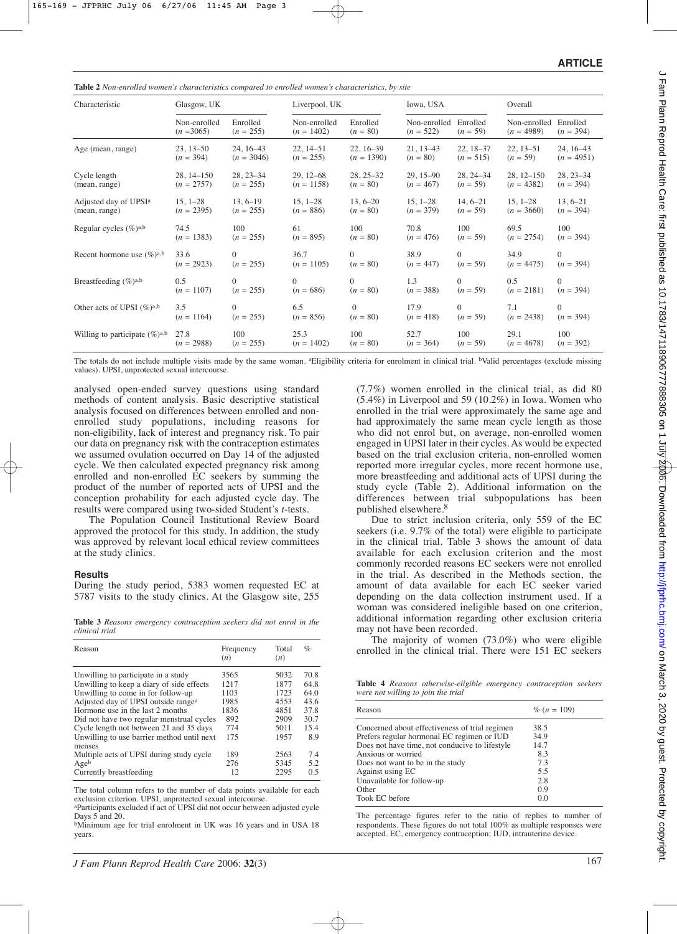| onca women's characterismes compared to chroned women's characterismes, of suc |                              |                         |                              |                        |                             |                        |                              |                         |
|--------------------------------------------------------------------------------|------------------------------|-------------------------|------------------------------|------------------------|-----------------------------|------------------------|------------------------------|-------------------------|
| Characteristic                                                                 | Glasgow, UK                  |                         | Liverpool, UK                |                        | Iowa, USA                   |                        | Overall                      |                         |
|                                                                                | Non-enrolled<br>$(n = 3065)$ | Enrolled<br>$(n = 255)$ | Non-enrolled<br>$(n = 1402)$ | Enrolled<br>$(n = 80)$ | Non-enrolled<br>$(n = 522)$ | Enrolled<br>$(n = 59)$ | Non-enrolled<br>$(n = 4989)$ | Enrolled<br>$(n = 394)$ |
| Age (mean, range)                                                              | $23, 13 - 50$                | 24, 16–43               | $22, 14 - 51$                | $22.16 - 39$           | $21.13 - 43$                | $22, 18 - 37$          | $22, 13 - 51$                | 24, 16 - 43             |
|                                                                                | $(n = 394)$                  | $(n = 3046)$            | $(n = 255)$                  | $(n = 1390)$           | $(n = 80)$                  | $(n = 515)$            | $(n = 59)$                   | $(n = 4951)$            |
| Cycle length                                                                   | $28, 14 - 150$               | $28, 23 - 34$           | $29, 12 - 68$                | $28, 25 - 32$          | $29, 15 - 90$               | $28, 24 - 34$          | $28, 12 - 150$               | $28, 23 - 34$           |
| (mean, range)                                                                  | $(n = 2757)$                 | $(n = 255)$             | $(n = 1158)$                 | $(n = 80)$             | $(n = 467)$                 | $(n = 59)$             | $(n = 4382)$                 | $(n = 394)$             |
| Adjusted day of UPSI <sup>a</sup>                                              | $15, 1 - 28$                 | $13,6-19$               | $15, 1 - 28$                 | $13,6-20$              | $15, 1-28$                  | $14,6-21$              | $15, 1-28$                   | $13,6-21$               |
| (mean, range)                                                                  | $(n = 2395)$                 | $(n = 255)$             | $(n = 886)$                  | $(n = 80)$             | $(n = 379)$                 | $(n = 59)$             | $(n = 3660)$                 | $(n = 394)$             |
| Regular cycles $(\%)^{a,b}$                                                    | 74.5                         | 100                     | 61                           | 100                    | 70.8                        | 100                    | 69.5                         | 100                     |
|                                                                                | $(n = 1383)$                 | $(n = 255)$             | $(n = 895)$                  | $(n = 80)$             | $(n = 476)$                 | $(n = 59)$             | $(n = 2754)$                 | $(n = 394)$             |
| Recent hormone use $(\%)^{a,b}$                                                | 33.6                         | $\Omega$                | 36.7                         | $\Omega$               | 38.9                        | $\Omega$               | 34.9                         | $\Omega$                |
|                                                                                | $(n = 2923)$                 | $(n = 255)$             | $(n = 1105)$                 | $(n = 80)$             | $(n = 447)$                 | $(n = 59)$             | $(n = 4475)$                 | $(n = 394)$             |
| Breastfeeding $(\%)^{a,b}$                                                     | 0.5                          | $\Omega$                | $\Omega$                     | $\Omega$               | 1.3                         | $\Omega$               | 0.5                          | $\Omega$                |
|                                                                                | $(n = 1107)$                 | $(n = 255)$             | $(n = 686)$                  | $(n = 80)$             | $(n = 388)$                 | $(n = 59)$             | $(n = 2181)$                 | $(n = 394)$             |
| Other acts of UPSI $(\%)^{a,b}$                                                | 3.5                          | $\Omega$                | 6.5                          | $\Omega$               | 17.9                        | $\Omega$               | 7.1                          | $\Omega$                |
|                                                                                | $(n = 1164)$                 | $(n = 255)$             | $(n = 856)$                  | $(n = 80)$             | $(n = 418)$                 | $(n = 59)$             | $(n = 2438)$                 | $(n = 394)$             |
| Willing to participate $(\%)^{a,b}$                                            | 27.8                         | 100                     | 25.3                         | 100                    | 52.7                        | 100                    | 29.1                         | 100                     |
|                                                                                | $(n = 2988)$                 | $(n = 255)$             | $(n = 1402)$                 | $(n = 80)$             | $(n = 364)$                 | $(n = 59)$             | $(n = 4678)$                 | $(n = 392)$             |

**Table 2** *Non-enrolled women's characteristics compared to enrolled women's characteristics, by site*

The totals do not include multiple visits made by the same woman. <sup>a</sup>Eligibility criteria for enrolment in clinical trial. <sup>b</sup>Valid percentages (exclude missing values). UPSI, unprotected sexual intercourse.

analysed open-ended survey questions using standard methods of content analysis. Basic descriptive statistical analysis focused on differences between enrolled and nonenrolled study populations, including reasons for non-eligibility, lack of interest and pregnancy risk. To pair our data on pregnancy risk with the contraception estimates we assumed ovulation occurred on Day 14 of the adjusted cycle. We then calculated expected pregnancy risk among enrolled and non-enrolled EC seekers by summing the product of the number of reported acts of UPSI and the conception probability for each adjusted cycle day. The results were compared using two-sided Student's *t*-tests.

The Population Council Institutional Review Board approved the protocol for this study. In addition, the study was approved by relevant local ethical review committees at the study clinics.

## **Results**

During the study period, 5383 women requested EC at 5787 visits to the study clinics. At the Glasgow site, 255

**Table 3** *Reasons emergency contraception seekers did not enrol in the clinical trial*

| Reason                                               | Frequency<br>(n) | Total<br>(n) | %    |
|------------------------------------------------------|------------------|--------------|------|
| Unwilling to participate in a study                  | 3565             | 5032         | 70.8 |
| Unwilling to keep a diary of side effects            | 1217             | 1877         | 64.8 |
| Unwilling to come in for follow-up                   | 1103             | 1723         | 64.0 |
| Adjusted day of UPSI outside range <sup>a</sup>      | 1985             | 4553         | 43.6 |
| Hormone use in the last 2 months                     | 1836             | 4851         | 37.8 |
| Did not have two regular menstrual cycles            | 892              | 2909         | 30.7 |
| Cycle length not between 21 and 35 days              | 774              | 5011         | 15.4 |
| Unwilling to use barrier method until next<br>menses | 175              | 1957         | 8.9  |
| Multiple acts of UPSI during study cycle             | 189              | 2563         | 7.4  |
| Age <sup>b</sup>                                     | 276              | 5345         | 5.2  |
| Currently breastfeeding                              | 12               | 2295         | 0.5  |

The total column refers to the number of data points available for each exclusion criterion. UPSI, unprotected sexual intercourse. aParticipants excluded if act of UPSI did not occur between adjusted cycle

Days 5 and 20.

bMinimum age for trial enrolment in UK was 16 years and in USA 18 years.

(7.7%) women enrolled in the clinical trial, as did 80 (5.4%) in Liverpool and 59 (10.2%) in Iowa. Women who enrolled in the trial were approximately the same age and had approximately the same mean cycle length as those who did not enrol but, on average, non-enrolled women engaged in UPSI later in their cycles. As would be expected based on the trial exclusion criteria, non-enrolled women reported more irregular cycles, more recent hormone use, more breastfeeding and additional acts of UPSI during the study cycle (Table 2). Additional information on the differences between trial subpopulations has been published elsewhere. 8

Due to strict inclusion criteria, only 559 of the EC seekers (i.e. 9.7% of the total) were eligible to participate in the clinical trial. Table 3 shows the amount of data available for each exclusion criterion and the most commonly recorded reasons EC seekers were not enrolled in the trial. As described in the Methods section, the amount of data available for each EC seeker varied depending on the data collection instrument used. If a woman was considered ineligible based on one criterion, additional information regarding other exclusion criteria may not have been recorded.

The majority of women (73.0%) who were eligible enrolled in the clinical trial. There were 151 EC seekers

**Table 4** *Reasons otherwise-eligible emergency contraception seekers were not willing to join the trial*

| Reason                                         | % ( $n = 109$ ) |
|------------------------------------------------|-----------------|
| Concerned about effectiveness of trial regimen | 38.5            |
| Prefers regular hormonal EC regimen or IUD     | 34.9            |
| Does not have time, not conducive to lifestyle | 14.7            |
| Anxious or worried                             | 8.3             |
| Does not want to be in the study               | 7.3             |
| Against using EC                               | 5.5             |
| Unavailable for follow-up                      | 2.8             |
| Other                                          | 0.9             |
| Took EC before                                 | 0.0             |

The percentage figures refer to the ratio of replies to number of respondents. These figures do not total 100% as multiple responses were accepted. EC, emergency contraception; IUD, intrauterine device.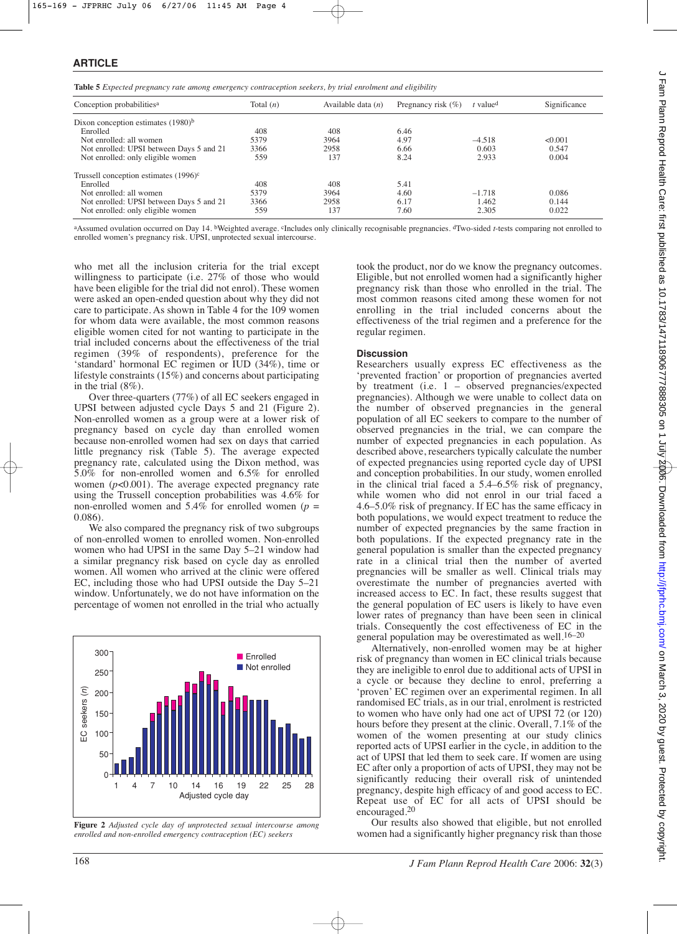# **ARTICLE**

**Table 5** *Expected pregnancy rate among emergency contraception seekers, by trial enrolment and eligibility*

| Conception probabilities <sup>a</sup>    | Total $(n)$ | Available data $(n)$ | Pregnancy risk $(\% )$ | $t$ value <sup>d</sup> | Significance |
|------------------------------------------|-------------|----------------------|------------------------|------------------------|--------------|
| Dixon conception estimates $(1980)^b$    |             |                      |                        |                        |              |
| Enrolled                                 | 408         | 408                  | 6.46                   |                        |              |
| Not enrolled: all women                  | 5379        | 3964                 | 4.97                   | $-4.518$               | < 0.001      |
| Not enrolled: UPSI between Days 5 and 21 | 3366        | 2958                 | 6.66                   | 0.603                  | 0.547        |
| Not enrolled: only eligible women        | 559         | 137                  | 8.24                   | 2.933                  | 0.004        |
| Trussell conception estimates $(1996)^c$ |             |                      |                        |                        |              |
| Enrolled                                 | 408         | 408                  | 5.41                   |                        |              |
| Not enrolled: all women                  | 5379        | 3964                 | 4.60                   | $-1.718$               | 0.086        |
| Not enrolled: UPSI between Days 5 and 21 | 3366        | 2958                 | 6.17                   | 1.462                  | 0.144        |
| Not enrolled: only eligible women        | 559         | 137                  | 7.60                   | 2.305                  | 0.022        |

<sup>a</sup>Assumed ovulation occurred on Day 14. <sup>b</sup>Weighted average. <sup>c</sup>Includes only clinically recognisable pregnancies. <sup>d</sup>Two-sided t-tests comparing not enrolled to enrolled women's pregnancy risk. UPSI, unprotected sexual intercourse.

who met all the inclusion criteria for the trial except willingness to participate (i.e. 27% of those who would have been eligible for the trial did not enrol). These women were asked an open-ended question about why they did not care to participate. As shown in Table 4 for the 109 women for whom data were available, the most common reasons eligible women cited for not wanting to participate in the trial included concerns about the effectiveness of the trial regimen (39% of respondents), preference for the 'standard' hormonal EC regimen or IUD (34%), time or lifestyle constraints (15%) and concerns about participating in the trial (8%).

Over three-quarters (77%) of all EC seekers engaged in UPSI between adjusted cycle Days 5 and 21 (Figure 2). Non-enrolled women as a group were at a lower risk of pregnancy based on cycle day than enrolled women because non-enrolled women had sex on days that carried little pregnancy risk (Table 5). The average expected pregnancy rate, calculated using the Dixon method, was 5.0% for non-enrolled women and 6.5% for enrolled women (*p*<0.001). The average expected pregnancy rate using the Trussell conception probabilities was 4.6% for non-enrolled women and  $5.4\%$  for enrolled women ( $p =$ 0.086).

We also compared the pregnancy risk of two subgroups of non-enrolled women to enrolled women. Non-enrolled women who had UPSI in the same Day 5–21 window had a similar pregnancy risk based on cycle day as enrolled women. All women who arrived at the clinic were offered EC, including those who had UPSI outside the Day 5–21 window. Unfortunately, we do not have information on the percentage of women not enrolled in the trial who actually



**Figure 2** *Adjusted cycle day of unprotected sexual intercourse among enrolled and non-enrolled emergency contraception (EC) seekers*

took the product, nor do we know the pregnancy outcomes. Eligible, but not enrolled women had a significantly higher pregnancy risk than those who enrolled in the trial. The most common reasons cited among these women for not enrolling in the trial included concerns about the effectiveness of the trial regimen and a preference for the regular regimen.

## **Discussion**

Researchers usually express EC effectiveness as the 'prevented fraction' or proportion of pregnancies averted by treatment (i.e. 1 – observed pregnancies/expected pregnancies). Although we were unable to collect data on the number of observed pregnancies in the general population of all EC seekers to compare to the number of observed pregnancies in the trial, we can compare the number of expected pregnancies in each population. As described above, researchers typically calculate the number of expected pregnancies using reported cycle day of UPSI and conception probabilities. In our study, women enrolled in the clinical trial faced a 5.4–6.5% risk of pregnancy, while women who did not enrol in our trial faced a 4.6–5.0% risk of pregnancy. If EC has the same efficacy in both populations, we would expect treatment to reduce the number of expected pregnancies by the same fraction in both populations. If the expected pregnancy rate in the general population is smaller than the expected pregnancy rate in a clinical trial then the number of averted pregnancies will be smaller as well. Clinical trials may overestimate the number of pregnancies averted with increased access to EC. In fact, these results suggest that the general population of EC users is likely to have even lower rates of pregnancy than have been seen in clinical trials. Consequently the cost effectiveness of EC in the general population may be overestimated as well.16–20

Alternatively, non-enrolled women may be at higher risk of pregnancy than women in EC clinical trials because they are ineligible to enrol due to additional acts of UPSI in a cycle or because they decline to enrol, preferring a 'proven' EC regimen over an experimental regimen. In all randomised EC trials, as in our trial, enrolment is restricted to women who have only had one act of UPSI 72 (or 120) hours before they present at the clinic. Overall, 7.1% of the women of the women presenting at our study clinics reported acts of UPSI earlier in the cycle, in addition to the act of UPSI that led them to seek care. If women are using EC after only a proportion of acts of UPSI, they may not be significantly reducing their overall risk of unintended pregnancy, despite high efficacy of and good access to EC. Repeat use of EC for all acts of UPSI should be encouraged.20

Our results also showed that eligible, but not enrolled women had a significantly higher pregnancy risk than those